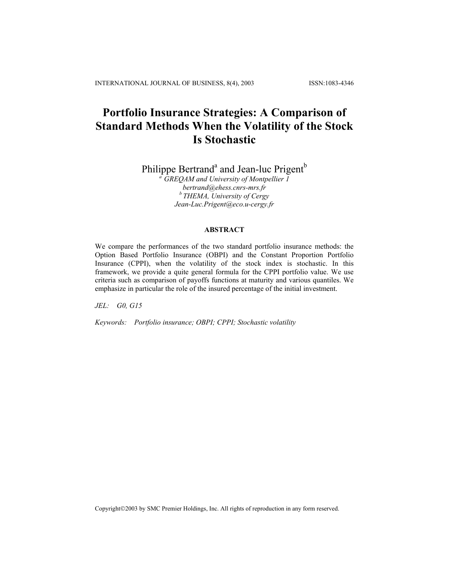# **Portfolio Insurance Strategies: A Comparison of Standard Methods When the Volatility of the Stock Is Stochastic**

Philippe Bertrand<sup>a</sup> and Jean-luc Prigent<sup>b</sup>

*a GREQAM and University of Montpellier 1 bertrand@ehess.cnrs-mrs.fr b THEMA, University of Cergy Jean-Luc.Prigent@eco.u-cergy.fr* 

# **ABSTRACT**

We compare the performances of the two standard portfolio insurance methods: the Option Based Portfolio Insurance (OBPI) and the Constant Proportion Portfolio Insurance (CPPI), when the volatility of the stock index is stochastic. In this framework, we provide a quite general formula for the CPPI portfolio value. We use criteria such as comparison of payoffs functions at maturity and various quantiles. We emphasize in particular the role of the insured percentage of the initial investment.

*JEL: G0, G15* 

*Keywords: Portfolio insurance; OBPI; CPPI; Stochastic volatility* 

Copyright©2003 by SMC Premier Holdings, Inc. All rights of reproduction in any form reserved.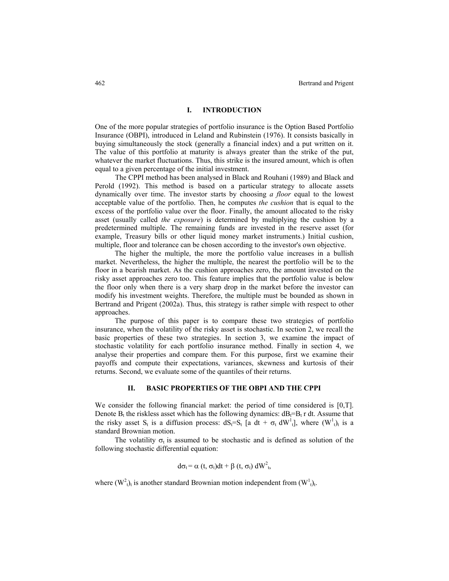### **I. INTRODUCTION**

One of the more popular strategies of portfolio insurance is the Option Based Portfolio Insurance (OBPI), introduced in Leland and Rubinstein (1976). It consists basically in buying simultaneously the stock (generally a financial index) and a put written on it. The value of this portfolio at maturity is always greater than the strike of the put, whatever the market fluctuations. Thus, this strike is the insured amount, which is often equal to a given percentage of the initial investment.

The CPPI method has been analysed in Black and Rouhani (1989) and Black and Perold (1992). This method is based on a particular strategy to allocate assets dynamically over time. The investor starts by choosing *a floor* equal to the lowest acceptable value of the portfolio. Then, he computes *the cushion* that is equal to the excess of the portfolio value over the floor. Finally, the amount allocated to the risky asset (usually called *the exposure*) is determined by multiplying the cushion by a predetermined multiple. The remaining funds are invested in the reserve asset (for example, Treasury bills or other liquid money market instruments.) Initial cushion, multiple, floor and tolerance can be chosen according to the investor's own objective.

The higher the multiple, the more the portfolio value increases in a bullish market. Nevertheless, the higher the multiple, the nearest the portfolio will be to the floor in a bearish market. As the cushion approaches zero, the amount invested on the risky asset approaches zero too. This feature implies that the portfolio value is below the floor only when there is a very sharp drop in the market before the investor can modify his investment weights. Therefore, the multiple must be bounded as shown in Bertrand and Prigent (2002a). Thus, this strategy is rather simple with respect to other approaches.

The purpose of this paper is to compare these two strategies of portfolio insurance, when the volatility of the risky asset is stochastic. In section 2, we recall the basic properties of these two strategies. In section 3, we examine the impact of stochastic volatility for each portfolio insurance method. Finally in section 4, we analyse their properties and compare them. For this purpose, first we examine their payoffs and compute their expectations, variances, skewness and kurtosis of their returns. Second, we evaluate some of the quantiles of their returns.

### **II. BASIC PROPERTIES OF THE OBPI AND THE CPPI**

We consider the following financial market: the period of time considered is [0,T]. Denote  $B_t$  the riskless asset which has the following dynamics:  $dB_t=B_t r dt$ . Assume that the risky asset S<sub>t</sub> is a diffusion process:  $dS_t = S_t$  [a dt +  $\sigma_t dW^1$ ], where  $(W^1)$ <sub>t</sub> is a standard Brownian motion.

The volatility  $\sigma_t$  is assumed to be stochastic and is defined as solution of the following stochastic differential equation:

$$
d\sigma_t = \alpha \ (t, \ \sigma_t) dt + \beta \ (t, \ \sigma_t) dW_t^2,
$$

where  $(W_{t}^{2}l_{t})$  is another standard Brownian motion independent from  $(W_{t}^{1}l_{t})$ .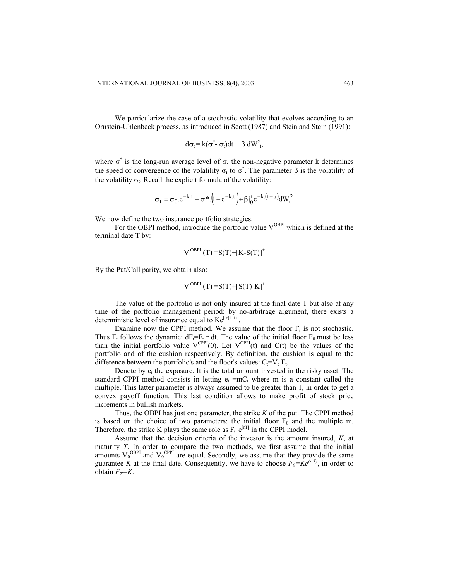We particularize the case of a stochastic volatility that evolves according to an Ornstein-Uhlenbeck process, as introduced in Scott (1987) and Stein and Stein (1991):

$$
d\sigma_t = k(\sigma^* - \sigma_t)dt + \beta dW_t^2,
$$

where  $\sigma^*$  is the long-run average level of  $\sigma$ , the non-negative parameter k determines the speed of convergence of the volatility  $\sigma_t$  to  $\sigma^*$ . The parameter  $\beta$  is the volatility of the volatility  $\sigma_t$ . Recall the explicit formula of the volatility:

$$
\sigma_t = \sigma_0 \cdot e^{-k \cdot t} + \sigma * (1 - e^{-k \cdot t}) + \beta J_0^t e^{-k \cdot (t - u)} dW_u^2
$$

We now define the two insurance portfolio strategies.

For the OBPI method, introduce the portfolio value  $V^{OBPI}$  which is defined at the terminal date T by:

$$
V^{OBPI}(T) = S(T) + [K-S(T)]^+
$$

By the Put/Call parity, we obtain also:

$$
V^{OBPI}(T) = S(T) + [S(T) - K]^+
$$

The value of the portfolio is not only insured at the final date T but also at any time of the portfolio management period: by no-arbitrage argument, there exists a deterministic level of insurance equal to  $Ke^{[-r(T-t)]}$ .

Examine now the CPPI method. We assume that the floor  $F_t$  is not stochastic. Thus F<sub>t</sub> follows the dynamic:  $dF_t = F_t r dt$ . The value of the initial floor F<sub>0</sub> must be less than the initial portfolio value  $V^{CPPI}(0)$ . Let  $V^{CPPI}(t)$  and  $C(t)$  be the values of the portfolio and of the cushion respectively. By definition, the cushion is equal to the difference between the portfolio's and the floor's values:  $C_f=V_f-F_f$ .

Denote by  $e_t$  the exposure. It is the total amount invested in the risky asset. The standard CPPI method consists in letting  $e_t = mc_t$  where m is a constant called the multiple. This latter parameter is always assumed to be greater than 1, in order to get a convex payoff function. This last condition allows to make profit of stock price increments in bullish markets.

Thus, the OBPI has just one parameter, the strike *K* of the put. The CPPI method is based on the choice of two parameters: the initial floor  $F_0$  and the multiple m. Therefore, the strike K plays the same role as  $F_0 e^{[rT]}$  in the CPPI model.

Assume that the decision criteria of the investor is the amount insured, *K*, at maturity *T*. In order to compare the two methods, we first assume that the initial amounts  $V_0^{\text{OBPI}}$  and  $V_0^{\text{CPPI}}$  are equal. Secondly, we assume that they provide the same guarantee *K* at the final date. Consequently, we have to choose  $F_0 = Ke^{(+T)}$ , in order to obtain  $F_T=K$ .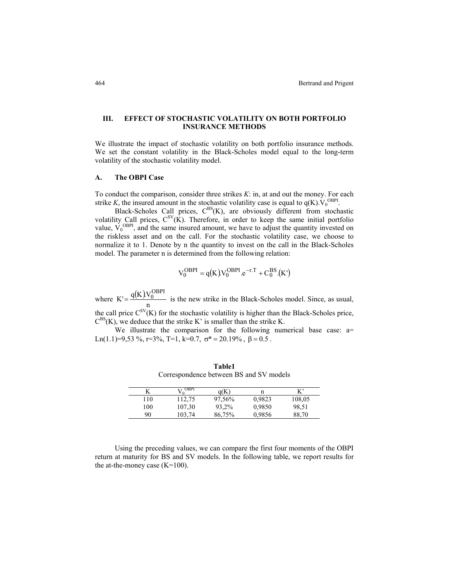## **III. EFFECT OF STOCHASTIC VOLATILITY ON BOTH PORTFOLIO INSURANCE METHODS**

We illustrate the impact of stochastic volatility on both portfolio insurance methods. We set the constant volatility in the Black-Scholes model equal to the long-term volatility of the stochastic volatility model.

### **A. The OBPI Case**

To conduct the comparison, consider three strikes *K*: in, at and out the money. For each strike *K*, the insured amount in the stochastic volatility case is equal to  $q(K)$ .  $V_0^{OBPI}$ .

Black-Scholes Call prices,  $C^{BS}(K)$ , are obviously different from stochastic volatility Call prices,  $C^{SV}(K)$ . Therefore, in order to keep the same initial portfolio value,  $V_0^{\text{OBPI}}$ , and the same insured amount, we have to adjust the quantity invested on the riskless asset and on the call. For the stochastic volatility case, we choose to normalize it to 1. Denote by n the quantity to invest on the call in the Black-Scholes model. The parameter n is determined from the following relation:

$$
V_0^{OBPI} = q(K) V_0^{OBPI} . e^{-r.T} + C_0^{BS} . (K')
$$

where  $K' = \frac{q(K)V_0^{\text{OBPI}}}{n}$  is the new strike in the Black-Scholes model. Since, as usual, the call price  $C^{SV}(K)$  for the stochastic volatility is higher than the Black-Scholes price,  $C^{BS}(K)$ , we deduce that the strike K' is smaller than the strike K.

We illustrate the comparison for the following numerical base case: a= Ln(1.1)=9,53 %, r=3%, T=1, k=0.7,  $\sigma^*$  = 20.19%,  $\beta$  = 0.5.

| N   | $\Lambda^{\rm \cdot \, OBbl}$ | a(K)   | n      | $K^{\prime}$ |
|-----|-------------------------------|--------|--------|--------------|
| 110 | 112,75                        | 97,56% | 0.9823 | 108,05       |
| 100 | 107,30                        | 93,2%  | 0,9850 | 98,51        |
| 90  | 103,74                        | 86,75% | 0.9856 | 88,70        |

**Table1** Correspondence between BS and SV models

Using the preceding values, we can compare the first four moments of the OBPI return at maturity for BS and SV models. In the following table, we report results for the at-the-money case  $(K=100)$ .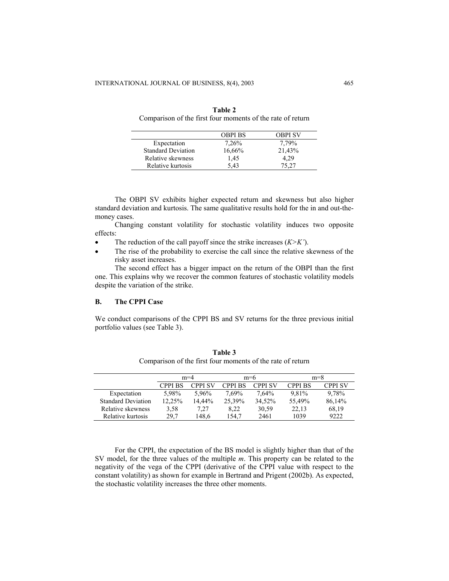|                           | <b>OBPI BS</b> | <b>OBPI SV</b> |
|---------------------------|----------------|----------------|
| Expectation               | 7,26%          | 7.79%          |
| <b>Standard Deviation</b> | 16,66%         | 21,43%         |
| Relative skewness         | 1.45           | 4.29           |
| Relative kurtosis         | 543            | 75.27          |

| Table 2                                                    |
|------------------------------------------------------------|
| Comparison of the first four moments of the rate of return |

The OBPI SV exhibits higher expected return and skewness but also higher standard deviation and kurtosis. The same qualitative results hold for the in and out-themoney cases.

Changing constant volatility for stochastic volatility induces two opposite effects:

- The reduction of the call payoff since the strike increases (*K*>*K*').
- The rise of the probability to exercise the call since the relative skewness of the risky asset increases.

The second effect has a bigger impact on the return of the OBPI than the first one. This explains why we recover the common features of stochastic volatility models despite the variation of the strike.

### **B. The CPPI Case**

We conduct comparisons of the CPPI BS and SV returns for the three previous initial portfolio values (see Table 3).

|                           |                | $m=4$          |                | $m=6$          |                | $m=8$          |
|---------------------------|----------------|----------------|----------------|----------------|----------------|----------------|
|                           | <b>CPPI BS</b> | <b>CPPI SV</b> | <b>CPPI BS</b> | <b>CPPI SV</b> | <b>CPPI BS</b> | <b>CPPI SV</b> |
| Expectation               | 5.98%          | 5.96%          | 7.69%          | 7.64%          | 9.81%          | 9.78%          |
| <b>Standard Deviation</b> | 12,25%         | 14.44%         | 25,39%         | 34.52%         | 55.49%         | 86,14%         |
| Relative skewness         | 3.58           | 7.27           | 8.22           | 30,59          | 22.13          | 68,19          |
| Relative kurtosis         | 29.7           | 148.6          | 154.7          | 2461           | 1039           | 9222           |

**Table 3**  Comparison of the first four moments of the rate of return

For the CPPI, the expectation of the BS model is slightly higher than that of the SV model, for the three values of the multiple *m*. This property can be related to the negativity of the vega of the CPPI (derivative of the CPPI value with respect to the constant volatility) as shown for example in Bertrand and Prigent (2002b). As expected, the stochastic volatility increases the three other moments.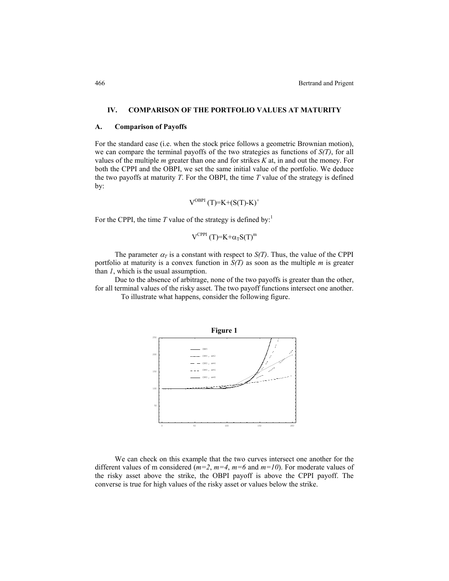### **IV. COMPARISON OF THE PORTFOLIO VALUES AT MATURITY**

#### **A. Comparison of Payoffs**

For the standard case (i.e. when the stock price follows a geometric Brownian motion), we can compare the terminal payoffs of the two strategies as functions of *S(T)*, for all values of the multiple *m* greater than one and for strikes *K* at, in and out the money. For both the CPPI and the OBPI, we set the same initial value of the portfolio. We deduce the two payoffs at maturity *T*. For the OBPI, the time *T* value of the strategy is defined by:

$$
V^{\text{OBPI}}(T)=K+(S(T)-K)^+
$$

For the CPPI, the time  $T$  value of the strategy is defined by:<sup>1</sup>

$$
V^{CPPI} (T)=K+\alpha_T S(T)^m
$$

The parameter  $\alpha_T$  is a constant with respect to  $S(T)$ . Thus, the value of the CPPI portfolio at maturity is a convex function in *S(T)* as soon as the multiple *m* is greater than *1*, which is the usual assumption.

Due to the absence of arbitrage, none of the two payoffs is greater than the other, for all terminal values of the risky asset. The two payoff functions intersect one another. To illustrate what happens, consider the following figure.



We can check on this example that the two curves intersect one another for the different values of m considered ( $m=2$ ,  $m=4$ ,  $m=6$  and  $m=10$ ). For moderate values of the risky asset above the strike, the OBPI payoff is above the CPPI payoff. The converse is true for high values of the risky asset or values below the strike.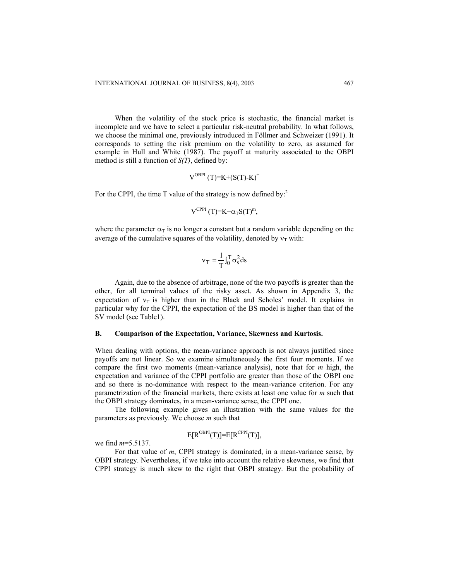When the volatility of the stock price is stochastic, the financial market is incomplete and we have to select a particular risk-neutral probability. In what follows, we choose the minimal one, previously introduced in Föllmer and Schweizer (1991). It corresponds to setting the risk premium on the volatility to zero, as assumed for example in Hull and White (1987). The payoff at maturity associated to the OBPI method is still a function of *S(T)*, defined by:

$$
V^{\text{OBPI}}(T)=K+(S(T)-K)^{+}
$$

For the CPPI, the time T value of the strategy is now defined by:<sup>2</sup>

$$
V^{CPPI} (T)=K+\alpha_T S(T)^m,
$$

where the parameter  $\alpha_T$  is no longer a constant but a random variable depending on the average of the cumulative squares of the volatility, denoted by  $v<sub>T</sub>$  with:

$$
v_T = \frac{1}{T} \int_0^T \sigma_s^2 ds
$$

Again, due to the absence of arbitrage, none of the two payoffs is greater than the other, for all terminal values of the risky asset. As shown in Appendix 3, the expectation of  $v_T$  is higher than in the Black and Scholes' model. It explains in particular why for the CPPI, the expectation of the BS model is higher than that of the SV model (see Table1).

#### **B. Comparison of the Expectation, Variance, Skewness and Kurtosis.**

When dealing with options, the mean-variance approach is not always justified since payoffs are not linear. So we examine simultaneously the first four moments. If we compare the first two moments (mean-variance analysis), note that for *m* high, the expectation and variance of the CPPI portfolio are greater than those of the OBPI one and so there is no-dominance with respect to the mean-variance criterion. For any parametrization of the financial markets, there exists at least one value for *m* such that the OBPI strategy dominates, in a mean-variance sense, the CPPI one.

The following example gives an illustration with the same values for the parameters as previously. We choose *m* such that

$$
E[R^{OBPI}(T)] = E[R^{CPPI}(T)],
$$

we find *m*=5.5137.

For that value of *m*, CPPI strategy is dominated, in a mean-variance sense, by OBPI strategy. Nevertheless, if we take into account the relative skewness, we find that CPPI strategy is much skew to the right that OBPI strategy. But the probability of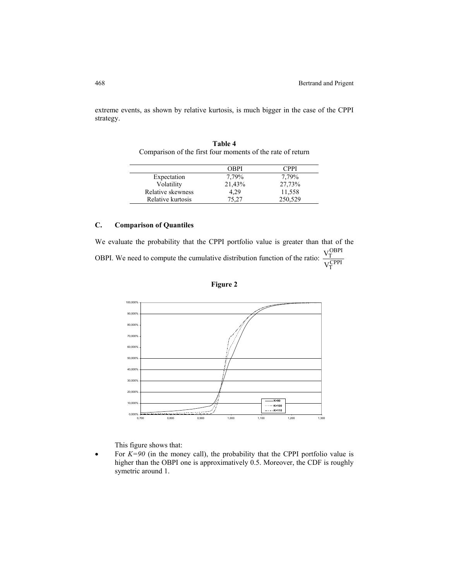extreme events, as shown by relative kurtosis, is much bigger in the case of the CPPI strategy.

|                   | OBPI   | CPPI    |
|-------------------|--------|---------|
| Expectation       | 7.79%  | 7.79%   |
| Volatility        | 21,43% | 27,73%  |
| Relative skewness | 4.29   | 11,558  |
| Relative kurtosis | 75,27  | 250,529 |

**Table 4** Comparison of the first four moments of the rate of return

# **C. Comparison of Quantiles**

We evaluate the probability that the CPPI portfolio value is greater than that of the OBPI. We need to compute the cumulative distribution function of the ratio:  $\frac{v_T}{V_T^{\text{CPPI}}}$ OBPI T V V





This figure shows that:

For  $K=90$  (in the money call), the probability that the CPPI portfolio value is higher than the OBPI one is approximatively 0.5. Moreover, the CDF is roughly symetric around 1.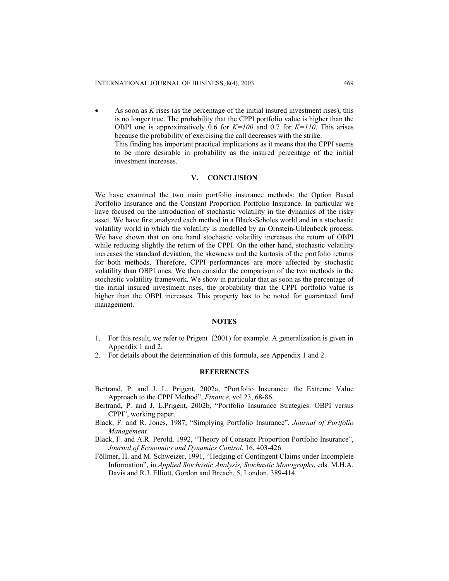• As soon as *K* rises (as the percentage of the initial insured investment rises), this is no longer true. The probability that the CPPI portfolio value is higher than the OBPI one is approximatively 0.6 for *K=100* and 0.7 for *K=110*. This arises because the probability of exercising the call decreases with the strike. This finding has important practical implications as it means that the CPPI seems to be more desirable in probability as the insured percentage of the initial investment increases.

#### **V. CONCLUSION**

We have examined the two main portfolio insurance methods: the Option Based Portfolio Insurance and the Constant Proportion Portfolio Insurance. In particular we have focused on the introduction of stochastic volatility in the dynamics of the risky asset. We have first analyzed each method in a Black-Scholes world and in a stochastic volatility world in which the volatility is modelled by an Ornstein-Uhlenbeck process. We have shown that on one hand stochastic volatility increases the return of OBPI while reducing slightly the return of the CPPI. On the other hand, stochastic volatility increases the standard deviation, the skewness and the kurtosis of the portfolio returns for both methods. Therefore, CPPI performances are more affected by stochastic volatility than OBPI ones. We then consider the comparison of the two methods in the stochastic volatility framework. We show in particular that as soon as the percentage of the initial insured investment rises, the probability that the CPPI portfolio value is higher than the OBPI increases. This property has to be noted for guaranteed fund management.

#### **NOTES**

- 1. For this result, we refer to Prigent (2001) for example. A generalization is given in Appendix 1 and 2.
- 2. For details about the determination of this formula, see Appendix 1 and 2.

### **REFERENCES**

- Bertrand, P. and J. L. Prigent, 2002a, "Portfolio Insurance: the Extreme Value Approach to the CPPI Method", *Finance*, vol 23, 68-86.
- Bertrand, P. and J. L.Prigent, 2002b, "Portfolio Insurance Strategies: OBPI versus CPPI", working paper.
- Black, F. and R. Jones, 1987, "Simplying Portfolio Insurance", *Journal of Portfolio Management.*
- Black, F. and A.R. Perold, 1992, "Theory of Constant Proportion Portfolio Insurance", *Journal of Economics and Dynamics Control*, 16, 403-426.
- Föllmer, H. and M. Schweizer, 1991, "Hedging of Contingent Claims under Incomplete Information", in *Applied Stochastic Analysis, Stochastic Monographs*, eds. M.H.A. Davis and R.J. Elliott, Gordon and Breach, 5, London, 389-414.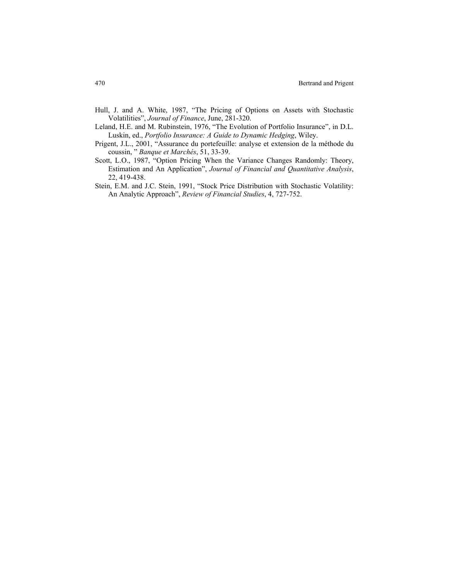- Hull, J. and A. White, 1987, "The Pricing of Options on Assets with Stochastic Volatilities", *Journal of Finance*, June, 281-320.
- Leland, H.E. and M. Rubinstein, 1976, "The Evolution of Portfolio Insurance", in D.L. Luskin, ed., *Portfolio Insurance: A Guide to Dynamic Hedging*, Wiley.
- Prigent, J.L., 2001, "Assurance du portefeuille: analyse et extension de la méthode du coussin, " *Banque et Marchés*, 51, 33-39.
- Scott, L.O., 1987, "Option Pricing When the Variance Changes Randomly: Theory, Estimation and An Application", *Journal of Financial and Quantitative Analysis*, 22, 419-438.
- Stein, E.M. and J.C. Stein, 1991, "Stock Price Distribution with Stochastic Volatility: An Analytic Approach", *Review of Financial Studies*, 4, 727-752.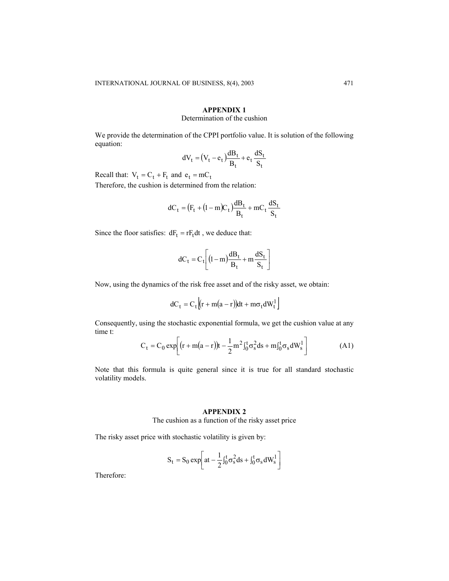# **APPENDIX 1**

### Determination of the cushion

We provide the determination of the CPPI portfolio value. It is solution of the following equation:

$$
dV_t = (V_t - e_t) \frac{dB_t}{B_t} + e_t \frac{dS_t}{S_t}
$$

Recall that:  $V_t = C_t + F_t$  and  $e_t = mC_t$ 

Therefore, the cushion is determined from the relation:

$$
dC_t = (F_t + (1-m)C_t)\frac{dB_t}{B_t} + mC_t\frac{dS_t}{S_t}
$$

Since the floor satisfies:  $dF_t = rF_t dt$ , we deduce that:

$$
dC_t = C_t \left[ (1-m)\frac{dB_t}{B_t} + m\frac{dS_t}{S_t} \right]
$$

Now, using the dynamics of the risk free asset and of the risky asset, we obtain:

$$
dC_t = C_t \left[ (r + m(a - r))dt + m\sigma_t dW_t^1 \right]
$$

Consequently, using the stochastic exponential formula, we get the cushion value at any time t:

$$
C_{t} = C_{0} \exp \left[ (r + m(a - r))t - \frac{1}{2}m^{2} \int_{0}^{t} \sigma_{s}^{2} ds + m \int_{0}^{t} \sigma_{s} dW_{s}^{1} \right]
$$
(A1)

Note that this formula is quite general since it is true for all standard stochastic volatility models.

# **APPENDIX 2**

The cushion as a function of the risky asset price

The risky asset price with stochastic volatility is given by:

$$
S_t = S_0 \exp \left[ at -\frac{1}{2} \int_0^t \sigma_s^2 ds + \int_0^t \sigma_s dW_s^1 \right]
$$

Therefore: